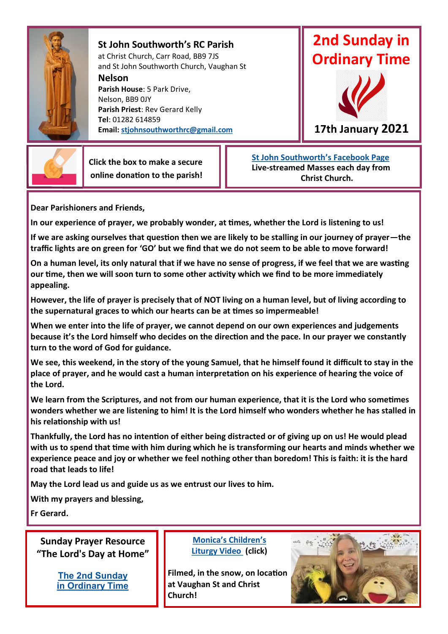

**St John Southworth's RC Parish** at Christ Church, Carr Road, BB9 7JS and St John Southworth Church, Vaughan St

**Nelson**

**Parish House**: 5 Park Drive, Nelson, BB9 0JY **Parish Priest**: Rev Gerard Kelly **Tel**: 01282 614859 **Email: [stjohnsouthworthrc@gmail.com](mailto:stjohnsouthworthrc@gmail.com)**





**17th January 2021**

 **Click the box to make a secure online donation to the parish!**

 **[St John Southworth's Facebook Page](https://www.facebook.com/Parish-of-St-John-Southworth-in-Nelson-105718084323986) Live-streamed Masses each day from Christ Church.**

**Dear Parishioners and Friends,**

**In our experience of prayer, we probably wonder, at times, whether the Lord is listening to us!** 

**If we are asking ourselves that question then we are likely to be stalling in our journey of prayer—the traffic lights are on green for 'GO' but we find that we do not seem to be able to move forward!** 

**On a human level, its only natural that if we have no sense of progress, if we feel that we are wasting our time, then we will soon turn to some other activity which we find to be more immediately appealing.**

**However, the life of prayer is precisely that of NOT living on a human level, but of living according to the supernatural graces to which our hearts can be at times so impermeable!**

**When we enter into the life of prayer, we cannot depend on our own experiences and judgements because it's the Lord himself who decides on the direction and the pace. In our prayer we constantly turn to the word of God for guidance.**

**We see, this weekend, in the story of the young Samuel, that he himself found it difficult to stay in the place of prayer, and he would cast a human interpretation on his experience of hearing the voice of the Lord.**

**We learn from the Scriptures, and not from our human experience, that it is the Lord who sometimes wonders whether we are listening to him! It is the Lord himself who wonders whether he has stalled in his relationship with us!** 

**Thankfully, the Lord has no intention of either being distracted or of giving up on us! He would plead with us to spend that time with him during which he is transforming our hearts and minds whether we experience peace and joy or whether we feel nothing other than boredom! This is faith: it is the hard road that leads to life!**

**May the Lord lead us and guide us as we entrust our lives to him.**

**With my prayers and blessing,**

**Fr Gerard.**

**Sunday Prayer Resource "The Lord's Day at Home"**

> **[The 2nd Sunday](https://mcusercontent.com/76e219dab8653b775ba8aac4c/files/afbc466b-0ca5-4ca7-b09d-081fb3a26d5b/LDAH_Ordinary_2B.pdf)  [in Ordinary Time](https://mcusercontent.com/76e219dab8653b775ba8aac4c/files/afbc466b-0ca5-4ca7-b09d-081fb3a26d5b/LDAH_Ordinary_2B.pdf)**

#### **[Monica's Children's](https://youtu.be/4jQGBCT6vZo)  [Liturgy Video](https://youtu.be/4jQGBCT6vZo) (click)**

**Filmed, in the snow, on location at Vaughan St and Christ Church!**